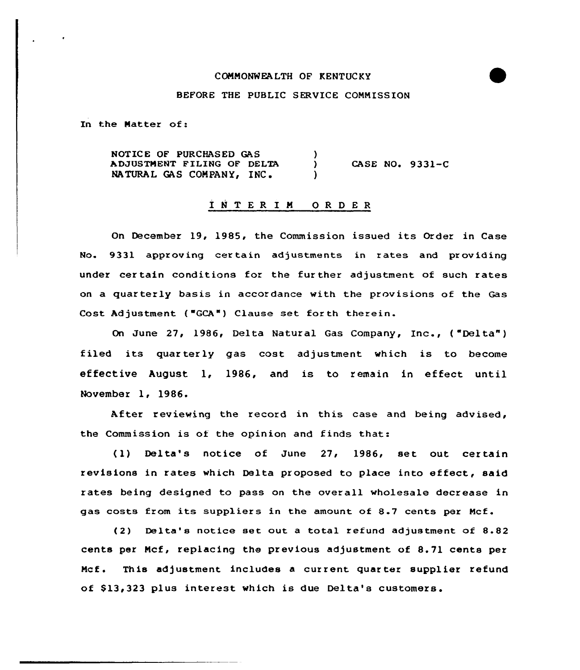#### COMMONWEALTH OF KENTUCKY

# BEFORE THE PUBLIC SERVICE COMMISSION

In the Matter of:

NOTICE OF PURCHASED GAS  $\mathcal{F}$ ADJUSTMENT FILING OF DELTA  $CASE NO. 9331-C$  $\mathcal{L}$ NATURAL GAS COMPANY, INC.

## INTER IN ORDER

On December 19, 1985, the Commission issued its Order in Case No. 9331 approving cer tain adjustments in rates and providing under cer tain conditions for the fur ther adjustment of such rates on a quar terly basis in accordance with the provisions of the Gas Cost Adjustment ("GCA") Clause set for th therein.

On June 27, 1986, Delta Natural Gas Company, Inc., ("Delta") filed its quarterly gas cost adjustment which is to become effective August 1, 1986, and is to remain in effect until November 1, 1986.

After reviewing the record in this case and being advised, the Commission is of the opinion and finds that:

(1) Delta's notice of June 27, 1986, set out certain revisions in rates which Delta proposed to place into effect, said rates being designed to pass on the overall wholesale decxease in gas costs from its suppliers in the amount of 8.7 cents pex Mcf.

(2) Delta's notice set out a total refund adjustment of  $8.82$ cents per Mcf, replacing the previous adjustment of 8.71 cents per Mcf. This adjustment includes a current quarter supplier refund of \$13,323 plus interest which is due Delta's customers.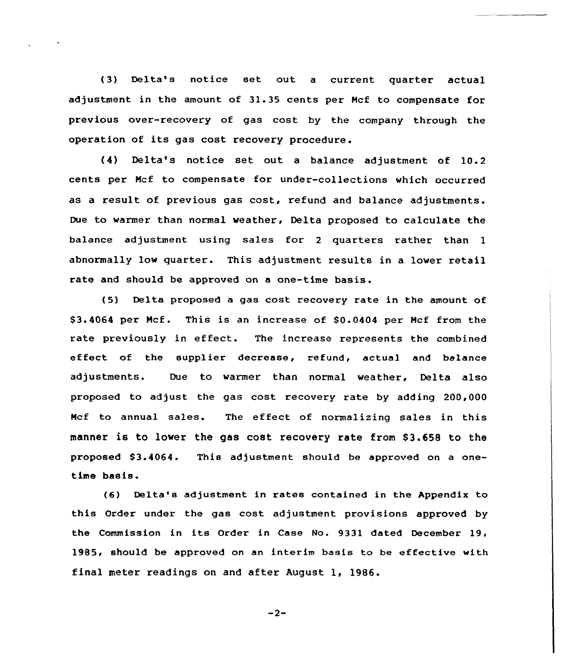{3) Delta's notice set out a current quarter actual adjustment in the amount of 31.35 cents per Mcf to compensate for previous over-recovery of gas cost by the company through the operation of its gas cost recovery procedure.

(4) Delta's notice set out a balance adjustment of 10.2 cents per Mcf to compensate for under-collections which occurred as a result of previous gas cost, refund and balance adjustments. Due to warmer than normal weather, Delta proposed to calculate the balance adjustment using sales for <sup>2</sup> quarters rather than <sup>1</sup> abnormally low quarter. This adjustment results in a lower retail rate and should be approved on a one-time basis.

{5) Delta proposed a gas cost recovery rate in the amount of \$3.4064 per Mcf. This is an increase of \$0.0404 per Mcf from the rate previously in effect. The increase represents the combined effect of the supplier decrease, refund, actual and balance adjustments. Due to warmer than normal weather, Delta also proposed to adjust the gas cost recovery rate by adding 200,000 Mcf to annual sales. The effect of normalizing sales in this manner is to lower the gas cost recovery rate from S3.658 to the proposed \$3.4064. This adjustment should be approved on a onetime basis.

{6) Delta's adjustment in rates contained in the Appendix to this Order under the gas cost adjustment provisions approved by the Commission in its Order in Case No. 9331 dated December 19, 1985, should be approved on an interim basis to be effective with final meter readings on and after August 1, 1986.

 $-2-$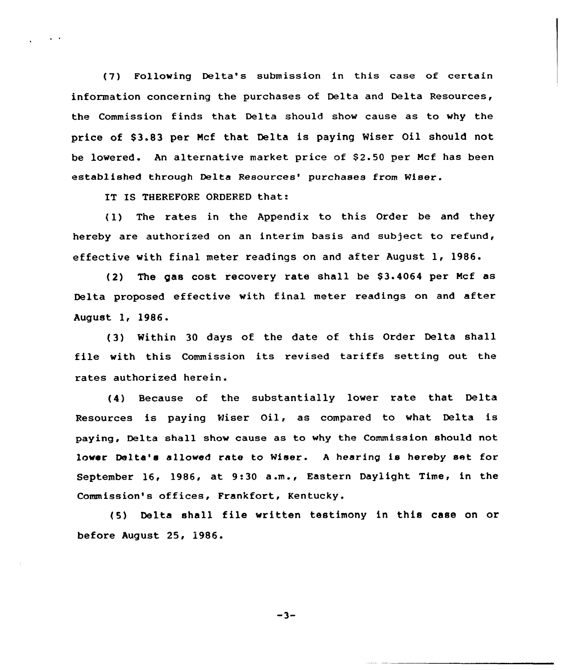(7) Following Delta's submission in this case of certain information concerning the purchases of Delta and Delta Resources, the Commission finds that Delta should show cause as to why the price of \$3.83 per Mcf that Delta is paying Wiser Oil should not be lowered. An alternative market price of \$2.50 per Mcf has been established through Delta Resources' purchases from Wiser.

IT IS THEREFORE ORDERED that:

(1) The rates in the Appendix to this Order be and they hereby are authorized on an interim basis and subject to refund, effective with final meter readings on and after August 1, 1986.

(2) The gas cost recovery rate shall be \$3.4064 per Mcf as Delta proposed effective with final meter readings on and after August 1, 1986.

(3) Within 30 days of the date of, this Order Delta shall file with this Commission its revised tariffs setting out the rates authorized herein.

(4) Because of the substantially lower rate that Delta Resources is paying Wiser Oil, as compared to what Delta is paying, Delta shall show cause as to why the Commission should not lower Delta's allowed rate to Wiser. <sup>A</sup> hearing is hereby set for September 16, 1986, at 9:30 a.m., Eastern Daylight Time, in the Commission's offices, Frankfort, Kentucky.

(5) Delta shall file written testimony in this case on or before August 25, 1986.

 $-3-$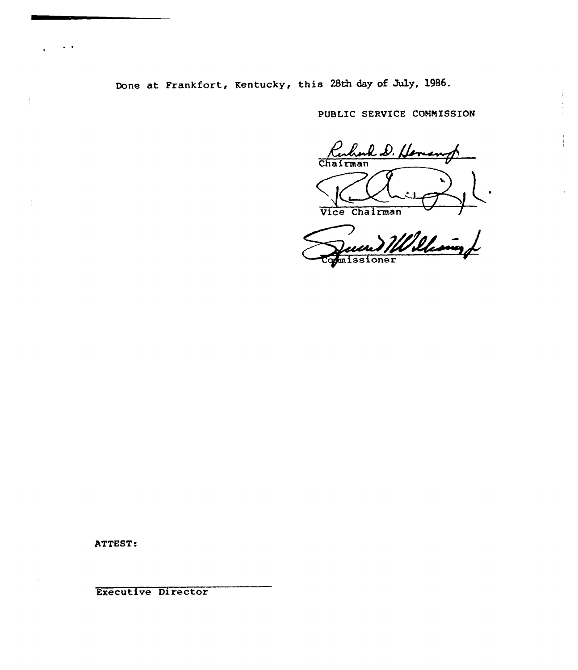Done at Frankfort, Kentucky, this 28th day of July, 1986.

PUBLIC SERVICE CONNISSION

Ruhard D. Homan

Vice Chairman

William missioner

ATTEST .

Executive Director